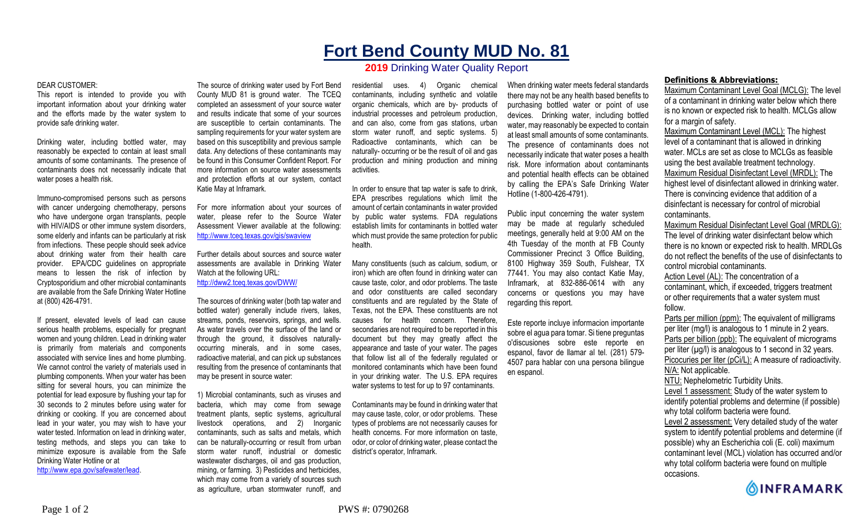## **Fort Bend County MUD No. 81**

## **2019** Drinking Water Quality Report

## DEAR CUSTOMER:

This report is intended to provide you with important information about your drinking water and the efforts made by the water system to provide safe drinking water.

Drinking water, including bottled water, may reasonably be expected to contain at least small amounts of some contaminants. The presence of contaminants does not necessarily indicate that water poses a health risk.

Immuno-compromised persons such as persons with cancer undergoing chemotherapy, persons who have undergone organ transplants, people with HIV/AIDS or other immune system disorders, some elderly and infants can be particularly at risk from infections. These people should seek advice about drinking water from their health care provider. EPA/CDC guidelines on appropriate means to lessen the risk of infection by Cryptosporidium and other microbial contaminants are available from the Safe Drinking Water Hotline at (800) 426-4791.

If present, elevated levels of lead can cause serious health problems, especially for pregnant women and young children. Lead in drinking water is primarily from materials and components associated with service lines and home plumbing. We cannot control the variety of materials used in plumbing components. When your water has been sitting for several hours, you can minimize the potential for lead exposure by flushing your tap for 30 seconds to 2 minutes before using water for drinking or cooking. If you are concerned about lead in your water, you may wish to have your water tested. Information on lead in drinking water, testing methods, and steps you can take to minimize exposure is available from the Safe Drinking Water Hotline or at http://www.epa.gov/safewater/lead.

The source of drinking water used by Fort Bend County MUD 81 is ground water. The TCEQ completed an assessment of your source water and results indicate that some of your sources are susceptible to certain contaminants. The sampling requirements for your water system are based on this susceptibility and previous sample data. Any detections of these contaminants may be found in this Consumer Confident Report. For more information on source water assessments and protection efforts at our system, contact Katie May at Inframark.

For more information about your sources of water, please refer to the Source Water Assessment Viewer available at the following: http://www.tceq.texas.gov/gis/swaview

Further details about sources and source water assessments are available in Drinking Water Watch at the following URL: http://dww2.tceq.texas.gov/DWW/

The sources of drinking water (both tap water and bottled water) generally include rivers, lakes, streams, ponds, reservoirs, springs, and wells. As water travels over the surface of the land or through the ground, it dissolves naturallyoccurring minerals, and in some cases, radioactive material, and can pick up substances resulting from the presence of contaminants that may be present in source water:

1) Microbial contaminants, such as viruses and bacteria, which may come from sewage treatment plants, septic systems, agricultural livestock operations, and 2) Inorganic contaminants, such as salts and metals, which can be naturally-occurring or result from urban storm water runoff, industrial or domestic wastewater discharges, oil and gas production, mining, or farming. 3) Pesticides and herbicides, which may come from a variety of sources such as agriculture, urban stormwater runoff, and

residential uses. 4) Organic chemical contaminants, including synthetic and volatile organic chemicals, which are by- products of industrial processes and petroleum production, and can also, come from gas stations, urban storm water runoff, and septic systems. 5) Radioactive contaminants, which can be naturally- occurring or be the result of oil and gas production and mining production and mining activities.

In order to ensure that tap water is safe to drink, EPA prescribes regulations which limit the amount of certain contaminants in water provided by public water systems. FDA regulations establish limits for contaminants in bottled water which must provide the same protection for public health.

Many constituents (such as calcium, sodium, or iron) which are often found in drinking water can cause taste, color, and odor problems. The taste and odor constituents are called secondary constituents and are regulated by the State of Texas, not the EPA. These constituents are not causes for health concern. Therefore, secondaries are not required to be reported in this document but they may greatly affect the appearance and taste of your water. The pages that follow list all of the federally regulated or monitored contaminants which have been found in your drinking water. The U.S. EPA requires water systems to test for up to 97 contaminants.

Contaminants may be found in drinking water that may cause taste, color, or odor problems. These types of problems are not necessarily causes for health concerns. For more information on taste, odor, or color of drinking water, please contact the district's operator, Inframark.

When drinking water meets federal standards there may not be any health based benefits to purchasing bottled water or point of use devices. Drinking water, including bottled water, may reasonably be expected to contain at least small amounts of some contaminants. The presence of contaminants does not necessarily indicate that water poses a health risk. More information about contaminants and potential health effects can be obtained by calling the EPA's Safe Drinking Water Hotline (1-800-426-4791).

Public input concerning the water system may be made at regularly scheduled meetings, generally held at 9:00 AM on the 4th Tuesday of the month at FB County Commissioner Precinct 3 Office Building, 8100 Highway 359 South, Fulshear, TX 77441. You may also contact Katie May, Inframark, at 832-886-0614 with any concerns or questions you may have regarding this report.

Este reporte incluye informacion importante sobre el agua para tomar. Si tiene preguntas o'discusiones sobre este reporte en espanol, favor de llamar al tel. (281) 579- 4507 para hablar con una persona bilingue en espanol.

## **Definitions & Abbreviations:**

Maximum Contaminant Level Goal (MCLG): The level of a contaminant in drinking water below which there is no known or expected risk to health. MCLGs allow for a margin of safety.

Maximum Contaminant Level (MCL): The highest level of a contaminant that is allowed in drinking water. MCLs are set as close to MCLGs as feasible using the best available treatment technology. Maximum Residual Disinfectant Level (MRDL): The highest level of disinfectant allowed in drinking water. There is convincing evidence that addition of a disinfectant is necessary for control of microbial contaminants.

Maximum Residual Disinfectant Level Goal (MRDLG): The level of drinking water disinfectant below which there is no known or expected risk to health. MRDLGs do not reflect the benefits of the use of disinfectants to control microbial contaminants.

Action Level (AL): The concentration of a contaminant, which, if exceeded, triggers treatment or other requirements that a water system must follow.

Parts per million (ppm): The equivalent of milligrams per liter (mg/l) is analogous to 1 minute in 2 years. Parts per billion (ppb): The equivalent of micrograms per liter  $(\mu g/l)$  is analogous to 1 second in 32 years. Picocuries per liter (pCi/L): A measure of radioactivity. N/A: Not applicable.

NTU: Nephelometric Turbidity Units.

Level 1 assessment: Study of the water system to identify potential problems and determine (if possible)

why total coliform bacteria were found.

Level 2 assessment: Very detailed study of the water system to identify potential problems and determine (if possible) why an Escherichia coli (E. coli) maximum contaminant level (MCL) violation has occurred and/or why total coliform bacteria were found on multiple occasions.

**OINFRAMARK**